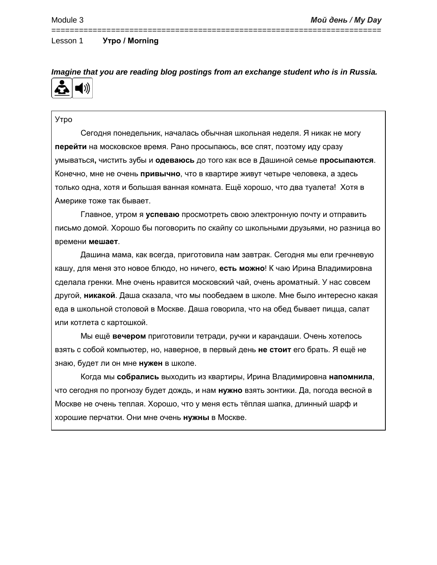# *Imagine that you are reading blog postings from an exchange student who is in Russia.*

========================================================================

### Утро

Сегодня понедельник, началась обычная школьная неделя. Я никак не могу **перейти** на московское время. Рано просыпаюсь, все спят, поэтому иду сразу умываться**,** чистить зубы и **одеваюсь** до того как все в Дашиной семье **просыпаются**. Конечно, мне не очень **привычно**, что в квартире живут четыре человека, а здесь только одна, хотя и большая ванная комната. Ещё хорошо, что два туалета! Хотя в Америке тоже так бывает.

Главное, утром я **успеваю** просмотреть свою электронную почту и отправить письмо домой. Хорошо бы поговорить по скайпу со школьными друзьями, но разница во времени **мешает**.

Дашина мама, как всегда, приготовила нам завтрак. Сегодня мы ели гречневую кашу, для меня это новое блюдо, но ничего, **есть можно**! К чаю Ирина Владимировна сделала гренки. Мне очень нравится московский чай, очень ароматный. У нас совсем другой, **никакой**. Даша сказала, что мы пообедаем в школе. Мне было интересно какая еда в школьной столовой в Москве. Даша говорила, что на обед бывает пицца, салат или котлета с картошкой.

Мы ещё **вечером** приготовили тетради, ручки и карандаши. Очень хотелось взять с собой компьютер, но, наверное, в первый день **не стоит** его брать. Я ещё не знаю, будет ли он мне **нужен** в школе.

Когда мы **собрались** выходить из квартиры, Ирина Владимировна **напомнила**, что сегодня по прогнозу будет дождь, и нам **нужно** взять зонтики. Да, погода весной в Москве не очень теплая. Хорошо, что у меня есть тёплая шапка, длинный шарф и хорошие перчатки. Они мне очень **нужны** в Москве.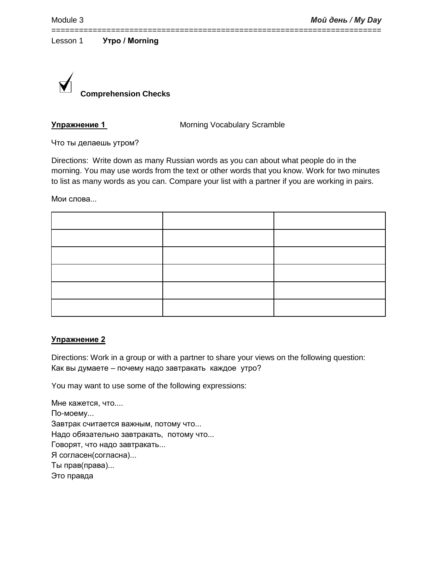========================================================================



**Упражнение 1 Morning Vocabulary Scramble** 

Что ты делаешь утром?

Directions: Write down as many Russian words as you can about what people do in the morning. You may use words from the text or other words that you know. Work for two minutes to list as many words as you can. Compare your list with a partner if you are working in pairs.

Мои слова...

#### **Упражнение 2**

Directions: Work in a group or with a partner to share your views on the following question: Как вы думаете – почему надо завтракать каждое утро?

You may want to use some of the following expressions:

Мне кажется, что.... По-моему... Завтрак считается важным, потому что... Надо обязательно завтракать, потому что... Говорят, что надо завтракать... Я согласен(согласна)... Ты прав(права)... Это правда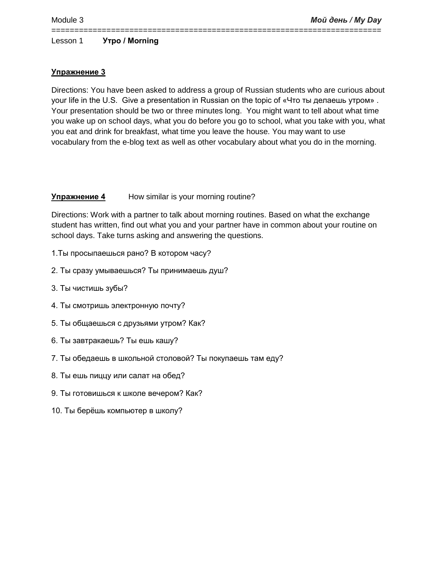### **Упражнение 3**

Directions: You have been asked to address a group of Russian students who are curious about your life in the U.S. Give a presentation in Russian on the topic of «Что ты делаешь утром» . Your presentation should be two or three minutes long. You might want to tell about what time you wake up on school days, what you do before you go to school, what you take with you, what you eat and drink for breakfast, what time you leave the house. You may want to use vocabulary from the e-blog text as well as other vocabulary about what you do in the morning.

========================================================================

#### **Упражнение 4** How similar is your morning routine?

Directions: Work with a partner to talk about morning routines. Based on what the exchange student has written, find out what you and your partner have in common about your routine on school days. Take turns asking and answering the questions.

- 1.Ты просыпаешься рано? В котором часу?
- 2. Ты сразу умываешься? Ты принимаешь душ?
- 3. Ты чистишь зубы?
- 4. Ты смотришь электронную почту?
- 5. Ты общаешься с друзьями утром? Как?
- 6. Ты завтракаешь? Ты ешь кашу?
- 7. Ты обедаешь в школьной столовой? Ты покупаешь там еду?
- 8. Ты ешь пиццу или салат на обед?
- 9. Ты готовишься к школе вечером? Как?
- 10. Ты берёшь компьютер в школу?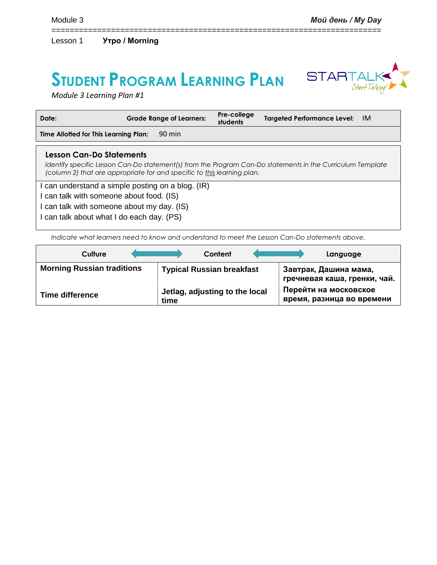## **STUDENT PROGRAM LEARNING PLAN**



*Module 3 Learning Plan #1*

| Date:                                    | <b>Grade Range of Learners:</b>                                         | Pre-college<br>students | <b>Targeted Performance Level:</b>                                                                         | IM. |
|------------------------------------------|-------------------------------------------------------------------------|-------------------------|------------------------------------------------------------------------------------------------------------|-----|
| Time Allotted for This Learning Plan:    | 90 min                                                                  |                         |                                                                                                            |     |
| Lesson Can-Do Statements                 | (column 2) that are appropriate for and specific to this learning plan. |                         | Identify specific Lesson Can-Do statement(s) from the Program Can-Do statements in the Curriculum Template |     |
| can talk with someone about food. (IS)   | can understand a simple posting on a blog. (IR)                         |                         |                                                                                                            |     |
| can talk with someone about my day. (IS) |                                                                         |                         |                                                                                                            |     |
| can talk about what I do each day. (PS)  |                                                                         |                         |                                                                                                            |     |

========================================================================

*Indicate what learners need to know and understand to meet the Lesson Can-Do statements above.* 

| Culture                           | Content                                | Language                                              |
|-----------------------------------|----------------------------------------|-------------------------------------------------------|
| <b>Morning Russian traditions</b> | <b>Typical Russian breakfast</b>       | Завтрак, Дашина мама,<br>гречневая каша, гренки, чай. |
| Time difference                   | Jetlag, adjusting to the local<br>time | Перейти на московское<br>время, разница во времени    |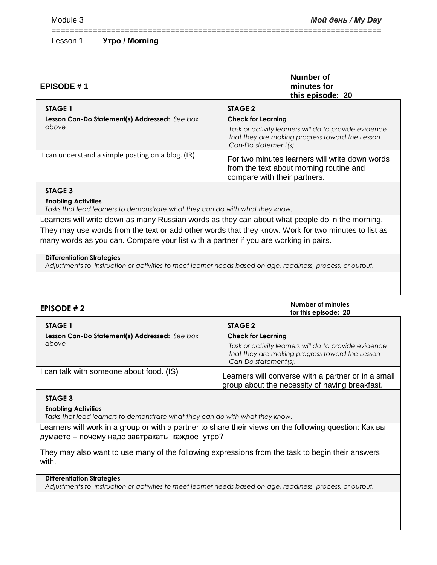| <b>EPISODE #1</b>                                                        | Number of<br>minutes for<br>this episode: 20                                                                                                                             |
|--------------------------------------------------------------------------|--------------------------------------------------------------------------------------------------------------------------------------------------------------------------|
| <b>STAGE 1</b><br>Lesson Can-Do Statement(s) Addressed: See box<br>above | STAGE 2<br><b>Check for Learning</b><br>Task or activity learners will do to provide evidence<br>that they are making progress toward the Lesson<br>Can-Do statement(s). |
| I can understand a simple posting on a blog. (IR)                        | For two minutes learners will write down words<br>from the text about morning routine and<br>compare with their partners.                                                |

========================================================================

#### **STAGE 3**

**Enabling Activities**

*Tasks that lead learners to demonstrate what they can do with what they know.*

Learners will write down as many Russian words as they can about what people do in the morning. They may use words from the text or add other words that they know. Work for two minutes to list as many words as you can. Compare your list with a partner if you are working in pairs.

#### **Differentiation Strategies**

*Adjustments to instruction or activities to meet learner needs based on age, readiness, process, or output.*

| <b>EPISODE #2</b>                                      | Number of minutes<br>for this episode: 20                                                                                                                     |
|--------------------------------------------------------|---------------------------------------------------------------------------------------------------------------------------------------------------------------|
| STAGE 1                                                | STAGE 2                                                                                                                                                       |
| Lesson Can-Do Statement(s) Addressed: See box<br>above | <b>Check for Learning</b><br>Task or activity learners will do to provide evidence<br>that they are making progress toward the Lesson<br>Can-Do statement(s). |
| I can talk with someone about food. (IS)               | Learners will converse with a partner or in a small<br>group about the necessity of having breakfast.                                                         |

#### **STAGE 3**

#### **Enabling Activities**

*Tasks that lead learners to demonstrate what they can do with what they know.*

Learners will work in a group or with a partner to share their views on the following question: Как вы думаете – почему надо завтракать каждое утро?

They may also want to use many of the following expressions from the task to begin their answers with.

#### **Differentiation Strategies**

*Adjustments to instruction or activities to meet learner needs based on age, readiness, process, or output.*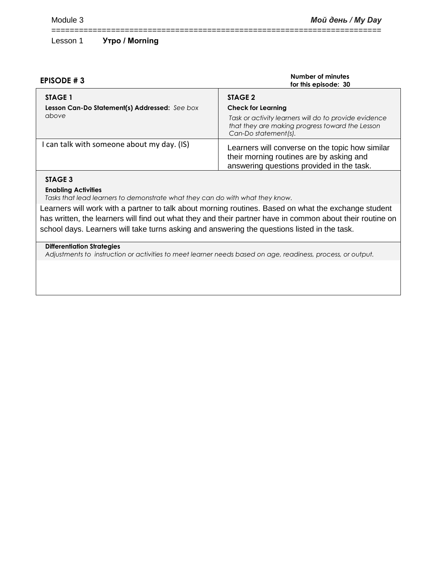| <b>EPISODE #3</b>                                                 | Number of minutes<br>for this episode: 30                                                                                                                                |
|-------------------------------------------------------------------|--------------------------------------------------------------------------------------------------------------------------------------------------------------------------|
| STAGE 1<br>Lesson Can-Do Statement(s) Addressed: See box<br>above | STAGE 2<br><b>Check for Learning</b><br>Task or activity learners will do to provide evidence<br>that they are making progress toward the Lesson<br>Can-Do statement(s). |
| I can talk with someone about my day. (IS)                        | Learners will converse on the topic how similar<br>their morning routines are by asking and<br>answering questions provided in the task.                                 |
|                                                                   |                                                                                                                                                                          |

========================================================================

#### **STAGE 3**

#### **Enabling Activities**

*Tasks that lead learners to demonstrate what they can do with what they know.*

Learners will work with a partner to talk about morning routines. Based on what the exchange student has written, the learners will find out what they and their partner have in common about their routine on school days. Learners will take turns asking and answering the questions listed in the task.

#### **Differentiation Strategies**

*Adjustments to instruction or activities to meet learner needs based on age, readiness, process, or output.*